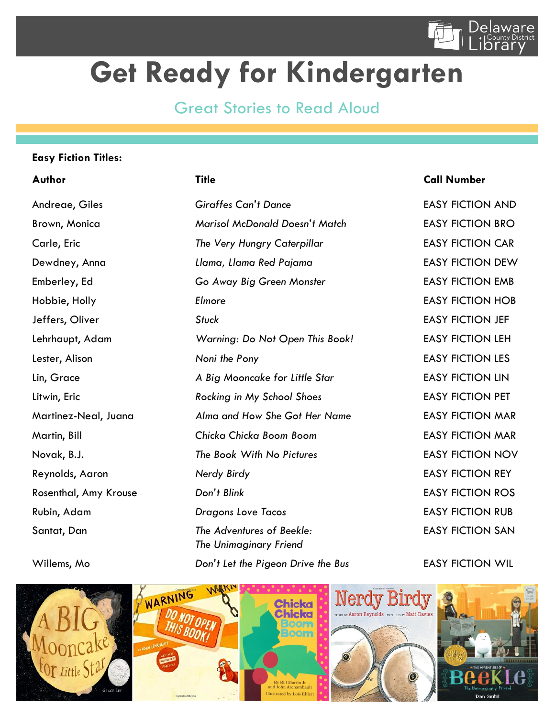

## **Get Ready for Kindergarten**

## Great Stories to Read Aloud

### **Easy Fiction Titles:**

Andreae, Giles *Giraffes Can't Dance* EASY FICTION AND Brown, Monica *Marisol McDonald Doesn't Match* EASY FICTION BRO Carle, Eric *The Very Hungry Caterpillar* EASY FICTION CAR Dewdney, Anna *Llama, Llama Red Pajama* EASY FICTION DEW Emberley, Ed *Go Away Big Green Monster* EASY FICTION EMB Hobbie, Holly *Elmore* EASY FICTION HOB Jeffers, Oliver *Stuck* EASY FICTION JEF Lehrhaupt, Adam *Warning: Do Not Open This Book!* EASY FICTION LEH Lester, Alison *Noni the Pony* EASY FICTION LES Lin, Grace *A Big Mooncake for Little Star* EASY FICTION LIN Litwin, Eric *Rocking in My School Shoes* EASY FICTION PET Martinez-Neal, Juana *Alma and How She Got Her Name* EASY FICTION MAR Martin, Bill *Chicka Chicka Boom Boom* EASY FICTION MAR Novak, B.J. *The Book With No Pictures* EASY FICTION NOV Reynolds, Aaron *Nerdy Birdy* EASY FICTION REY Rosenthal, Amy Krouse *Don't Blink* **EASY FICTION ROS** Rubin, Adam *Dragons Love Tacos* EASY FICTION RUB Santat, Dan *The Adventures of Beekle:* EASY FICTION SAN *The Unimaginary Friend*

## **Author Title Call Number**

Willems, Mo *Don't Let the Pigeon Drive the Bus* EASY FICTION WIL